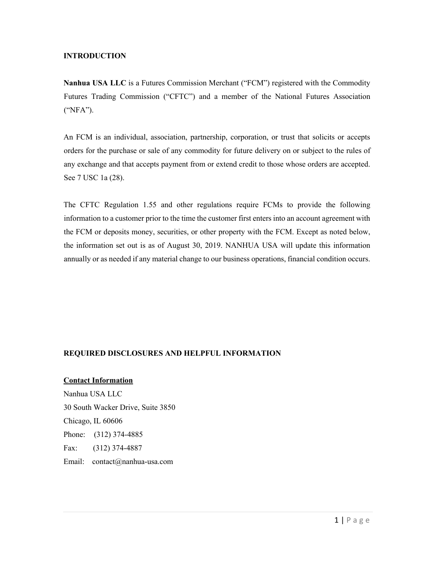## **INTRODUCTION**

**Nanhua USA LLC** is a Futures Commission Merchant ("FCM") registered with the Commodity Futures Trading Commission ("CFTC") and a member of the National Futures Association ("NFA").

An FCM is an individual, association, partnership, corporation, or trust that solicits or accepts orders for the purchase or sale of any commodity for future delivery on or subject to the rules of any exchange and that accepts payment from or extend credit to those whose orders are accepted. See 7 USC 1a (28).

The CFTC Regulation 1.55 and other regulations require FCMs to provide the following information to a customer prior to the time the customer first enters into an account agreement with the FCM or deposits money, securities, or other property with the FCM. Except as noted below, the information set out is as of August 30, 2019. NANHUA USA will update this information annually or as needed if any material change to our business operations, financial condition occurs.

# **REQUIRED DISCLOSURES AND HELPFUL INFORMATION**

**Contact Information** Nanhua USA LLC 30 South Wacker Drive, Suite 3850 Chicago, IL 60606 Phone: (312) 374-4885 Fax: (312) 374-4887 Email: contact@nanhua-usa.com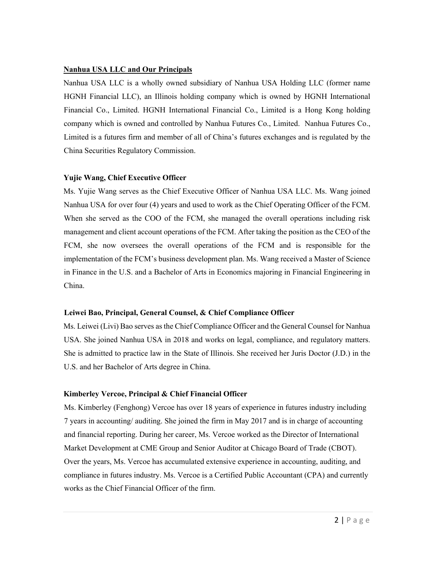## **Nanhua USA LLC and Our Principals**

Nanhua USA LLC is a wholly owned subsidiary of Nanhua USA Holding LLC (former name HGNH Financial LLC), an Illinois holding company which is owned by HGNH International Financial Co., Limited. HGNH International Financial Co., Limited is a Hong Kong holding company which is owned and controlled by Nanhua Futures Co., Limited. Nanhua Futures Co., Limited is a futures firm and member of all of China's futures exchanges and is regulated by the China Securities Regulatory Commission.

## **Yujie Wang, Chief Executive Officer**

Ms. Yujie Wang serves as the Chief Executive Officer of Nanhua USA LLC. Ms. Wang joined Nanhua USA for over four (4) years and used to work as the Chief Operating Officer of the FCM. When she served as the COO of the FCM, she managed the overall operations including risk management and client account operations of the FCM. After taking the position as the CEO of the FCM, she now oversees the overall operations of the FCM and is responsible for the implementation of the FCM's business development plan. Ms. Wang received a Master of Science in Finance in the U.S. and a Bachelor of Arts in Economics majoring in Financial Engineering in China.

## **Leiwei Bao, Principal, General Counsel, & Chief Compliance Officer**

Ms. Leiwei (Livi) Bao serves as the Chief Compliance Officer and the General Counsel for Nanhua USA. She joined Nanhua USA in 2018 and works on legal, compliance, and regulatory matters. She is admitted to practice law in the State of Illinois. She received her Juris Doctor (J.D.) in the U.S. and her Bachelor of Arts degree in China.

## **Kimberley Vercoe, Principal & Chief Financial Officer**

Ms. Kimberley (Fenghong) Vercoe has over 18 years of experience in futures industry including 7 years in accounting/ auditing. She joined the firm in May 2017 and is in charge of accounting and financial reporting. During her career, Ms. Vercoe worked as the Director of International Market Development at CME Group and Senior Auditor at Chicago Board of Trade (CBOT). Over the years, Ms. Vercoe has accumulated extensive experience in accounting, auditing, and compliance in futures industry. Ms. Vercoe is a Certified Public Accountant (CPA) and currently works as the Chief Financial Officer of the firm.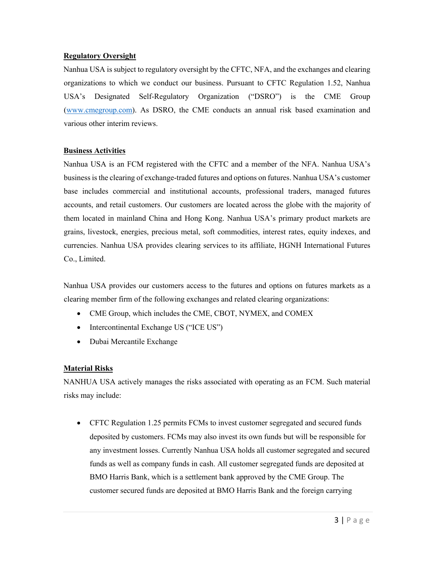## **Regulatory Oversight**

Nanhua USA is subject to regulatory oversight by the CFTC, NFA, and the exchanges and clearing organizations to which we conduct our business. Pursuant to CFTC Regulation 1.52, Nanhua USA's Designated Self-Regulatory Organization ("DSRO") is the CME Group (www.cmegroup.com). As DSRO, the CME conducts an annual risk based examination and various other interim reviews.

## **Business Activities**

Nanhua USA is an FCM registered with the CFTC and a member of the NFA. Nanhua USA's business is the clearing of exchange-traded futures and options on futures. Nanhua USA's customer base includes commercial and institutional accounts, professional traders, managed futures accounts, and retail customers. Our customers are located across the globe with the majority of them located in mainland China and Hong Kong. Nanhua USA's primary product markets are grains, livestock, energies, precious metal, soft commodities, interest rates, equity indexes, and currencies. Nanhua USA provides clearing services to its affiliate, HGNH International Futures Co., Limited.

Nanhua USA provides our customers access to the futures and options on futures markets as a clearing member firm of the following exchanges and related clearing organizations:

- CME Group, which includes the CME, CBOT, NYMEX, and COMEX
- Intercontinental Exchange US ("ICE US")
- Dubai Mercantile Exchange

# **Material Risks**

NANHUA USA actively manages the risks associated with operating as an FCM. Such material risks may include:

• CFTC Regulation 1.25 permits FCMs to invest customer segregated and secured funds deposited by customers. FCMs may also invest its own funds but will be responsible for any investment losses. Currently Nanhua USA holds all customer segregated and secured funds as well as company funds in cash. All customer segregated funds are deposited at BMO Harris Bank, which is a settlement bank approved by the CME Group. The customer secured funds are deposited at BMO Harris Bank and the foreign carrying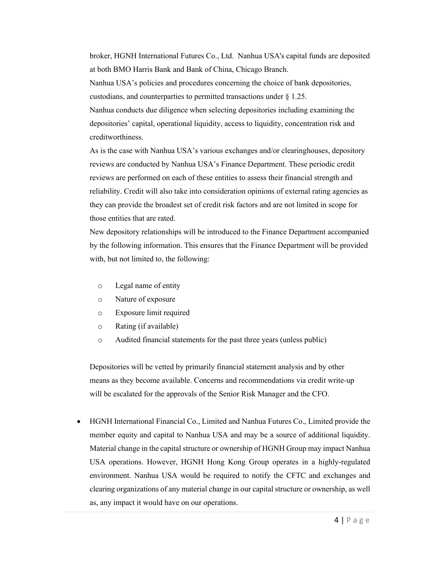broker, HGNH International Futures Co., Ltd. Nanhua USA's capital funds are deposited at both BMO Harris Bank and Bank of China, Chicago Branch.

Nanhua USA's policies and procedures concerning the choice of bank depositories, custodians, and counterparties to permitted transactions under § 1.25.

Nanhua conducts due diligence when selecting depositories including examining the depositories' capital, operational liquidity, access to liquidity, concentration risk and creditworthiness.

As is the case with Nanhua USA's various exchanges and/or clearinghouses, depository reviews are conducted by Nanhua USA's Finance Department. These periodic credit reviews are performed on each of these entities to assess their financial strength and reliability. Credit will also take into consideration opinions of external rating agencies as they can provide the broadest set of credit risk factors and are not limited in scope for those entities that are rated.

New depository relationships will be introduced to the Finance Department accompanied by the following information. This ensures that the Finance Department will be provided with, but not limited to, the following:

- o Legal name of entity
- o Nature of exposure
- o Exposure limit required
- o Rating (if available)
- o Audited financial statements for the past three years (unless public)

Depositories will be vetted by primarily financial statement analysis and by other means as they become available. Concerns and recommendations via credit write-up will be escalated for the approvals of the Senior Risk Manager and the CFO.

• HGNH International Financial Co., Limited and Nanhua Futures Co., Limited provide the member equity and capital to Nanhua USA and may be a source of additional liquidity. Material change in the capital structure or ownership of HGNH Group may impact Nanhua USA operations. However, HGNH Hong Kong Group operates in a highly-regulated environment. Nanhua USA would be required to notify the CFTC and exchanges and clearing organizations of any material change in our capital structure or ownership, as well as, any impact it would have on our operations.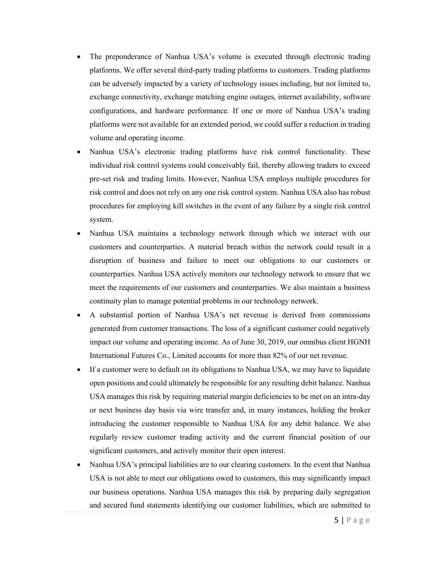- The preponderance of Nanhua USA's volume is executed through electronic trading platforms. We offer several third-party trading platforms to customers. Trading platforms can be adversely impacted by a variety of technology issues including, but not limited to, exchange connectivity, exchange matching engine outages, internet availability, software configurations, and hardware performance. If one or more of Nanhua USA's trading platforms were not available for an extended period, we could suffer a reduction in trading volume and operating income.
- Nanhua USA's electronic trading platforms have risk control functionality. These individual risk control systems could conceivably fail, thereby allowing traders to exceed pre-set risk and trading limits. However, Nanhua USA employs multiple procedures for risk control and does not rely on any one risk control system. Nanhua USA also has robust procedures for employing kill switches in the event of any failure by a single risk control system.
- Nanhua USA maintains a technology network through which we interact with our customers and counterparties. A material breach within the network could result in a disruption of business and failure to meet our obligations to our customers or counterparties. Nanhua USA actively monitors our technology network to ensure that we meet the requirements of our customers and counterparties. We also maintain a business continuity plan to manage potential problems in our technology network.
- A substantial portion of Nanhua USA's net revenue is derived from commissions generated from customer transactions. The loss of a significant customer could negatively impact our volume and operating income. As of June 30, 2019, our omnibus client HGNH International Futures Co., Limited accounts for more than 82% of our net revenue.
- If a customer were to default on its obligations to Nanhua USA, we may have to liquidate open positions and could ultimately be responsible for any resulting debit balance. Nanhua USA manages this risk by requiring material margin deficiencies to be met on an intra-day or next business day basis via wire transfer and, in many instances, holding the broker introducing the customer responsible to Nanhua USA for any debit balance. We also regularly review customer trading activity and the current financial position of our significant customers, and actively monitor their open interest.
- Nanhua USA's principal liabilities are to our clearing customers. In the event that Nanhua USA is not able to meet our obligations owed to customers, this may significantly impact our business operations. Nanhua USA manages this risk by preparing daily segregation and secured fund statements identifying our customer liabilities, which are submitted to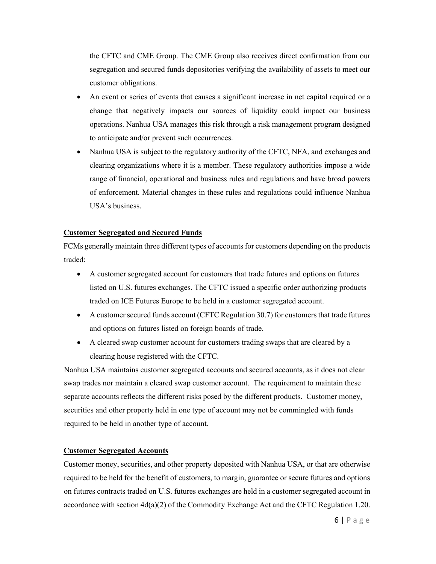the CFTC and CME Group. The CME Group also receives direct confirmation from our segregation and secured funds depositories verifying the availability of assets to meet our customer obligations.

- An event or series of events that causes a significant increase in net capital required or a change that negatively impacts our sources of liquidity could impact our business operations. Nanhua USA manages this risk through a risk management program designed to anticipate and/or prevent such occurrences.
- Nanhua USA is subject to the regulatory authority of the CFTC, NFA, and exchanges and clearing organizations where it is a member. These regulatory authorities impose a wide range of financial, operational and business rules and regulations and have broad powers of enforcement. Material changes in these rules and regulations could influence Nanhua USA's business.

#### **Customer Segregated and Secured Funds**

FCMs generally maintain three different types of accounts for customers depending on the products traded:

- A customer segregated account for customers that trade futures and options on futures listed on U.S. futures exchanges. The CFTC issued a specific order authorizing products traded on ICE Futures Europe to be held in a customer segregated account.
- A customer secured funds account (CFTC Regulation 30.7) for customers that trade futures and options on futures listed on foreign boards of trade.
- A cleared swap customer account for customers trading swaps that are cleared by a clearing house registered with the CFTC.

Nanhua USA maintains customer segregated accounts and secured accounts, as it does not clear swap trades nor maintain a cleared swap customer account. The requirement to maintain these separate accounts reflects the different risks posed by the different products. Customer money, securities and other property held in one type of account may not be commingled with funds required to be held in another type of account.

#### **Customer Segregated Accounts**

Customer money, securities, and other property deposited with Nanhua USA, or that are otherwise required to be held for the benefit of customers, to margin, guarantee or secure futures and options on futures contracts traded on U.S. futures exchanges are held in a customer segregated account in accordance with section 4d(a)(2) of the Commodity Exchange Act and the CFTC Regulation 1.20.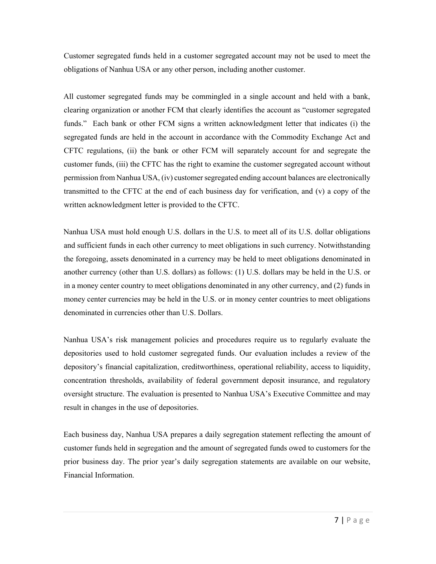Customer segregated funds held in a customer segregated account may not be used to meet the obligations of Nanhua USA or any other person, including another customer.

All customer segregated funds may be commingled in a single account and held with a bank, clearing organization or another FCM that clearly identifies the account as "customer segregated funds." Each bank or other FCM signs a written acknowledgment letter that indicates (i) the segregated funds are held in the account in accordance with the Commodity Exchange Act and CFTC regulations, (ii) the bank or other FCM will separately account for and segregate the customer funds, (iii) the CFTC has the right to examine the customer segregated account without permission from Nanhua USA, (iv) customer segregated ending account balances are electronically transmitted to the CFTC at the end of each business day for verification, and (v) a copy of the written acknowledgment letter is provided to the CFTC.

Nanhua USA must hold enough U.S. dollars in the U.S. to meet all of its U.S. dollar obligations and sufficient funds in each other currency to meet obligations in such currency. Notwithstanding the foregoing, assets denominated in a currency may be held to meet obligations denominated in another currency (other than U.S. dollars) as follows: (1) U.S. dollars may be held in the U.S. or in a money center country to meet obligations denominated in any other currency, and (2) funds in money center currencies may be held in the U.S. or in money center countries to meet obligations denominated in currencies other than U.S. Dollars.

Nanhua USA's risk management policies and procedures require us to regularly evaluate the depositories used to hold customer segregated funds. Our evaluation includes a review of the depository's financial capitalization, creditworthiness, operational reliability, access to liquidity, concentration thresholds, availability of federal government deposit insurance, and regulatory oversight structure. The evaluation is presented to Nanhua USA's Executive Committee and may result in changes in the use of depositories.

Each business day, Nanhua USA prepares a daily segregation statement reflecting the amount of customer funds held in segregation and the amount of segregated funds owed to customers for the prior business day. The prior year's daily segregation statements are available on our website, Financial Information.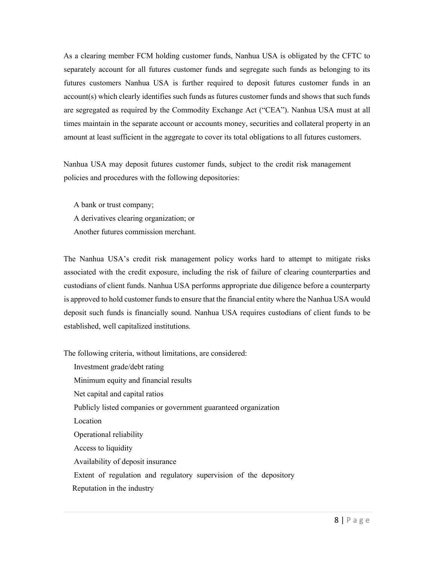As a clearing member FCM holding customer funds, Nanhua USA is obligated by the CFTC to separately account for all futures customer funds and segregate such funds as belonging to its futures customers Nanhua USA is further required to deposit futures customer funds in an account(s) which clearly identifies such funds as futures customer funds and shows that such funds are segregated as required by the Commodity Exchange Act ("CEA"). Nanhua USA must at all times maintain in the separate account or accounts money, securities and collateral property in an amount at least sufficient in the aggregate to cover its total obligations to all futures customers.

Nanhua USA may deposit futures customer funds, subject to the credit risk management policies and procedures with the following depositories:

A bank or trust company; A derivatives clearing organization; or Another futures commission merchant.

The Nanhua USA's credit risk management policy works hard to attempt to mitigate risks associated with the credit exposure, including the risk of failure of clearing counterparties and custodians of client funds. Nanhua USA performs appropriate due diligence before a counterparty is approved to hold customer funds to ensure that the financial entity where the Nanhua USA would deposit such funds is financially sound. Nanhua USA requires custodians of client funds to be established, well capitalized institutions.

The following criteria, without limitations, are considered:

Investment grade/debt rating Minimum equity and financial results Net capital and capital ratios Publicly listed companies or government guaranteed organization Location Operational reliability Access to liquidity Availability of deposit insurance Extent of regulation and regulatory supervision of the depository Reputation in the industry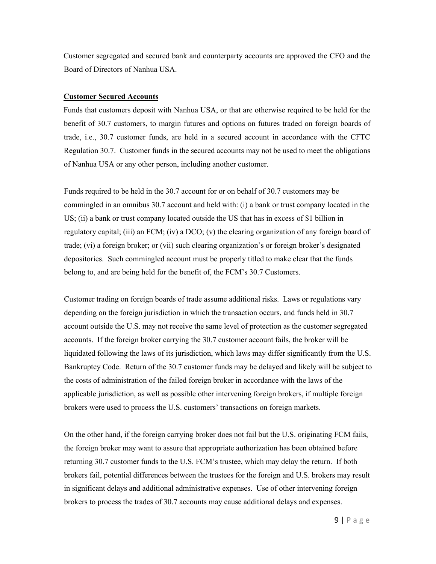Customer segregated and secured bank and counterparty accounts are approved the CFO and the Board of Directors of Nanhua USA.

#### **Customer Secured Accounts**

Funds that customers deposit with Nanhua USA, or that are otherwise required to be held for the benefit of 30.7 customers, to margin futures and options on futures traded on foreign boards of trade, i.e., 30.7 customer funds, are held in a secured account in accordance with the CFTC Regulation 30.7. Customer funds in the secured accounts may not be used to meet the obligations of Nanhua USA or any other person, including another customer.

Funds required to be held in the 30.7 account for or on behalf of 30.7 customers may be commingled in an omnibus 30.7 account and held with: (i) a bank or trust company located in the US; (ii) a bank or trust company located outside the US that has in excess of \$1 billion in regulatory capital; (iii) an FCM; (iv) a DCO; (v) the clearing organization of any foreign board of trade; (vi) a foreign broker; or (vii) such clearing organization's or foreign broker's designated depositories. Such commingled account must be properly titled to make clear that the funds belong to, and are being held for the benefit of, the FCM's 30.7 Customers.

Customer trading on foreign boards of trade assume additional risks. Laws or regulations vary depending on the foreign jurisdiction in which the transaction occurs, and funds held in 30.7 account outside the U.S. may not receive the same level of protection as the customer segregated accounts. If the foreign broker carrying the 30.7 customer account fails, the broker will be liquidated following the laws of its jurisdiction, which laws may differ significantly from the U.S. Bankruptcy Code. Return of the 30.7 customer funds may be delayed and likely will be subject to the costs of administration of the failed foreign broker in accordance with the laws of the applicable jurisdiction, as well as possible other intervening foreign brokers, if multiple foreign brokers were used to process the U.S. customers' transactions on foreign markets.

On the other hand, if the foreign carrying broker does not fail but the U.S. originating FCM fails, the foreign broker may want to assure that appropriate authorization has been obtained before returning 30.7 customer funds to the U.S. FCM's trustee, which may delay the return. If both brokers fail, potential differences between the trustees for the foreign and U.S. brokers may result in significant delays and additional administrative expenses. Use of other intervening foreign brokers to process the trades of 30.7 accounts may cause additional delays and expenses.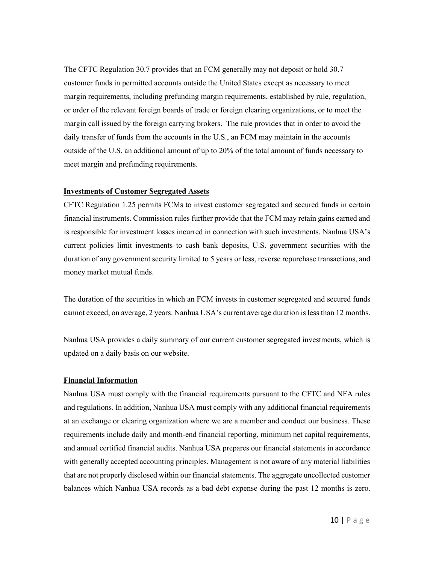The CFTC Regulation 30.7 provides that an FCM generally may not deposit or hold 30.7 customer funds in permitted accounts outside the United States except as necessary to meet margin requirements, including prefunding margin requirements, established by rule, regulation, or order of the relevant foreign boards of trade or foreign clearing organizations, or to meet the margin call issued by the foreign carrying brokers. The rule provides that in order to avoid the daily transfer of funds from the accounts in the U.S., an FCM may maintain in the accounts outside of the U.S. an additional amount of up to 20% of the total amount of funds necessary to meet margin and prefunding requirements.

## **Investments of Customer Segregated Assets**

CFTC Regulation 1.25 permits FCMs to invest customer segregated and secured funds in certain financial instruments. Commission rules further provide that the FCM may retain gains earned and is responsible for investment losses incurred in connection with such investments. Nanhua USA's current policies limit investments to cash bank deposits, U.S. government securities with the duration of any government security limited to 5 years or less, reverse repurchase transactions, and money market mutual funds.

The duration of the securities in which an FCM invests in customer segregated and secured funds cannot exceed, on average, 2 years. Nanhua USA's current average duration is less than 12 months.

Nanhua USA provides a daily summary of our current customer segregated investments, which is updated on a daily basis on our website.

## **Financial Information**

Nanhua USA must comply with the financial requirements pursuant to the CFTC and NFA rules and regulations. In addition, Nanhua USA must comply with any additional financial requirements at an exchange or clearing organization where we are a member and conduct our business. These requirements include daily and month-end financial reporting, minimum net capital requirements, and annual certified financial audits. Nanhua USA prepares our financial statements in accordance with generally accepted accounting principles. Management is not aware of any material liabilities that are not properly disclosed within our financial statements. The aggregate uncollected customer balances which Nanhua USA records as a bad debt expense during the past 12 months is zero.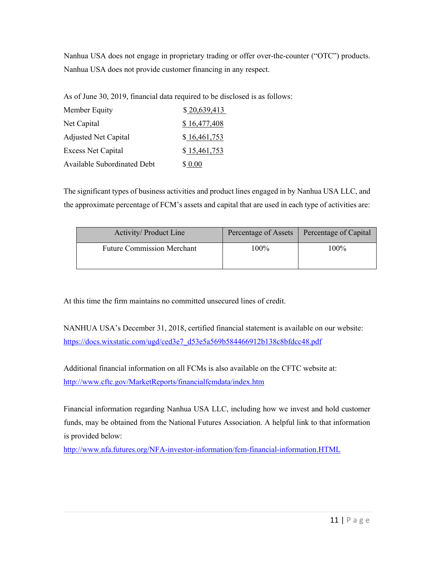Nanhua USA does not engage in proprietary trading or offer over-the-counter ("OTC") products. Nanhua USA does not provide customer financing in any respect.

As of June 30, 2019, financial data required to be disclosed is as follows:

| Member Equity                      | \$20,639,413 |
|------------------------------------|--------------|
| Net Capital                        | \$16,477,408 |
| <b>Adjusted Net Capital</b>        | \$16,461,753 |
| <b>Excess Net Capital</b>          | \$15,461,753 |
| <b>Available Subordinated Debt</b> | \$ 0.00      |

The significant types of business activities and product lines engaged in by Nanhua USA LLC, and the approximate percentage of FCM's assets and capital that are used in each type of activities are:

| Activity/ Product Line            | Percentage of Assets | Percentage of Capital |
|-----------------------------------|----------------------|-----------------------|
| <b>Future Commission Merchant</b> | $100\%$              | 100%                  |

At this time the firm maintains no committed unsecured lines of credit.

NANHUA USA's December 31, 2018, certified financial statement is available on our website: https://docs.wixstatic.com/ugd/ced3e7\_d53e5a569b584466912b138c8bfdcc48.pdf

Additional financial information on all FCMs is also available on the CFTC website at: http://www.cftc.gov/MarketReports/financialfcmdata/index.htm

Financial information regarding Nanhua USA LLC, including how we invest and hold customer funds, may be obtained from the National Futures Association. A helpful link to that information is provided below:

http://www.nfa.futures.org/NFA-investor-information/fcm-financial-information.HTML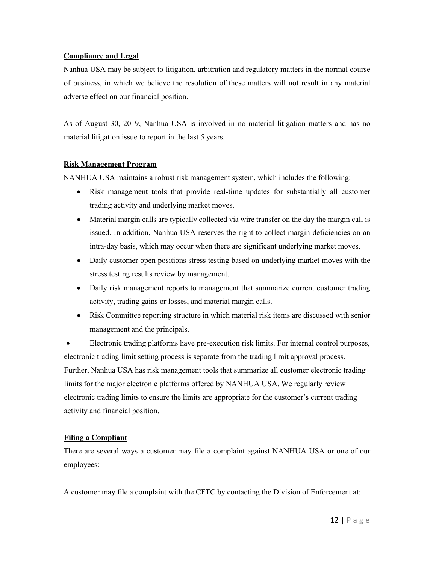## **Compliance and Legal**

Nanhua USA may be subject to litigation, arbitration and regulatory matters in the normal course of business, in which we believe the resolution of these matters will not result in any material adverse effect on our financial position.

As of August 30, 2019, Nanhua USA is involved in no material litigation matters and has no material litigation issue to report in the last 5 years.

## **Risk Management Program**

NANHUA USA maintains a robust risk management system, which includes the following:

- Risk management tools that provide real-time updates for substantially all customer trading activity and underlying market moves.
- Material margin calls are typically collected via wire transfer on the day the margin call is issued. In addition, Nanhua USA reserves the right to collect margin deficiencies on an intra-day basis, which may occur when there are significant underlying market moves.
- Daily customer open positions stress testing based on underlying market moves with the stress testing results review by management.
- Daily risk management reports to management that summarize current customer trading activity, trading gains or losses, and material margin calls.
- Risk Committee reporting structure in which material risk items are discussed with senior management and the principals.

• Electronic trading platforms have pre-execution risk limits. For internal control purposes, electronic trading limit setting process is separate from the trading limit approval process. Further, Nanhua USA has risk management tools that summarize all customer electronic trading limits for the major electronic platforms offered by NANHUA USA. We regularly review electronic trading limits to ensure the limits are appropriate for the customer's current trading activity and financial position.

# **Filing a Compliant**

There are several ways a customer may file a complaint against NANHUA USA or one of our employees:

A customer may file a complaint with the CFTC by contacting the Division of Enforcement at: